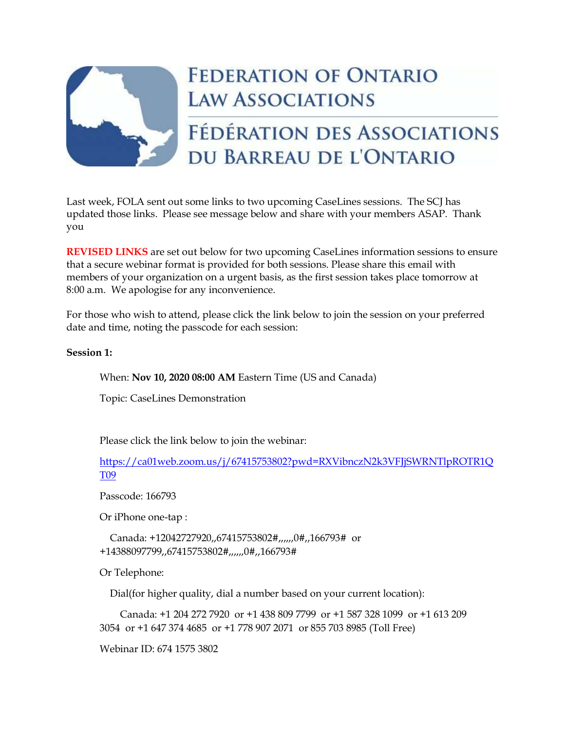

## **FEDERATION OF ONTARIO LAW ASSOCIATIONS**

## FÉDÉRATION DES ASSOCIATIONS DU BARREAU DE L'ONTARIO

Last week, FOLA sent out some links to two upcoming CaseLines sessions. The SCJ has updated those links. Please see message below and share with your members ASAP. Thank you

**REVISED LINKS** are set out below for two upcoming CaseLines information sessions to ensure that a secure webinar format is provided for both sessions. Please share this email with members of your organization on a urgent basis, as the first session takes place tomorrow at 8:00 a.m. We apologise for any inconvenience.

For those who wish to attend, please click the link below to join the session on your preferred date and time, noting the passcode for each session:

## **Session 1:**

When: **Nov 10, 2020 08:00 AM** Eastern Time (US and Canada)

Topic: CaseLines Demonstration

Please click the link below to join the webinar:

[https://ca01web.zoom.us/j/67415753802?pwd=RXVibnczN2k3VFJjSWRNTlpROTR1Q](https://ca01web.zoom.us/j/67415753802?pwd=RXVibnczN2k3VFJjSWRNTlpROTR1QT09) [T09](https://ca01web.zoom.us/j/67415753802?pwd=RXVibnczN2k3VFJjSWRNTlpROTR1QT09)

Passcode: 166793

Or iPhone one-tap :

 Canada: +12042727920,,67415753802#,,,,,,0#,,166793# or +14388097799,,67415753802#,,,,,,0#,,166793#

Or Telephone:

Dial(for higher quality, dial a number based on your current location):

 Canada: +1 204 272 7920 or +1 438 809 7799 or +1 587 328 1099 or +1 613 209 3054 or +1 647 374 4685 or +1 778 907 2071 or 855 703 8985 (Toll Free)

Webinar ID: 674 1575 3802